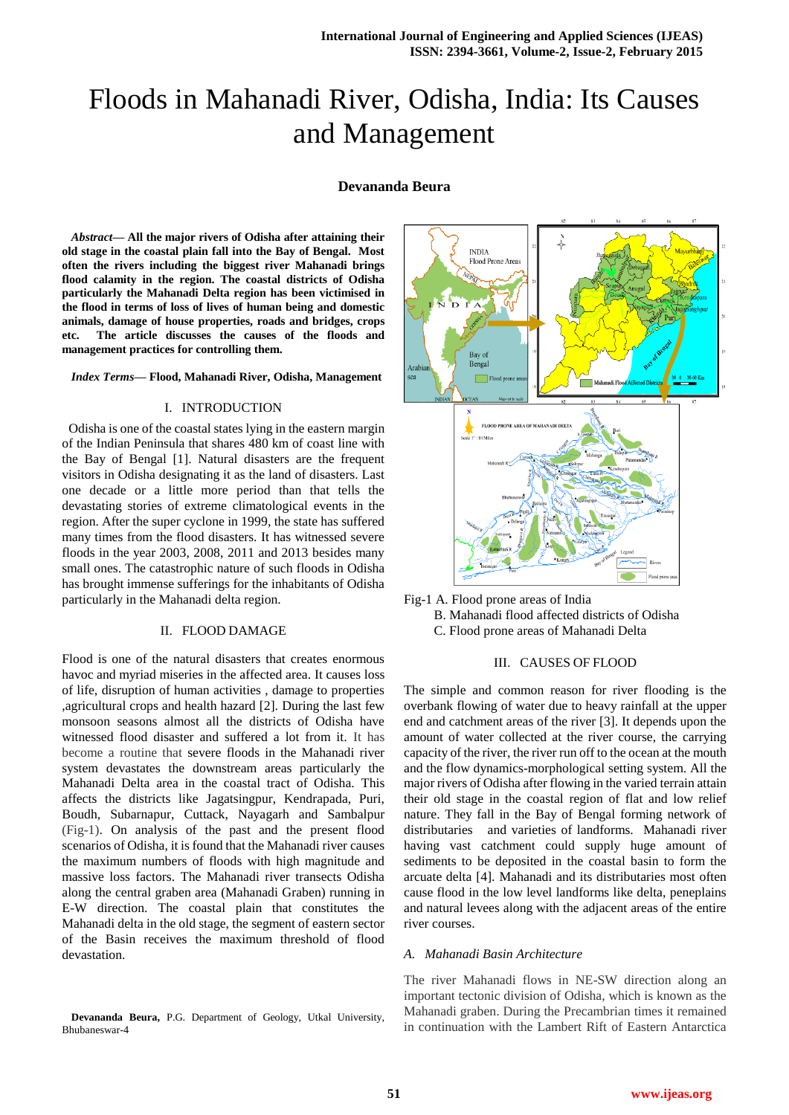# Floods in Mahanadi River, Odisha, India: Its Causes and Management

## **Devananda Beura**

*Abstract***— All the major rivers of Odisha after attaining their old stage in the coastal plain fall into the Bay of Bengal. Most often the rivers including the biggest river Mahanadi brings flood calamity in the region. The coastal districts of Odisha particularly the Mahanadi Delta region has been victimised in the flood in terms of loss of lives of human being and domestic animals, damage of house properties, roads and bridges, crops etc. The article discusses the causes of the floods and management practices for controlling them.**

#### *Index Terms***— Flood, Mahanadi River, Odisha, Management**

#### I. INTRODUCTION

 Odisha is one of the coastal states lying in the eastern margin of the Indian Peninsula that shares 480 km of coast line with the Bay of Bengal [1]. Natural disasters are the frequent visitors in Odisha designating it as the land of disasters. Last one decade or a little more period than that tells the devastating stories of extreme climatological events in the region. After the super cyclone in 1999, the state has suffered many times from the flood disasters. It has witnessed severe floods in the year 2003, 2008, 2011 and 2013 besides many small ones. The catastrophic nature of such floods in Odisha has brought immense sufferings for the inhabitants of Odisha particularly in the Mahanadi delta region.

#### II. FLOOD DAMAGE

Flood is one of the natural disasters that creates enormous havoc and myriad miseries in the affected area. It causes loss of life, disruption of human activities , damage to properties ,agricultural crops and health hazard [2]. During the last few monsoon seasons almost all the districts of Odisha have witnessed flood disaster and suffered a lot from it. It has become a routine that severe floods in the Mahanadi river system devastates the downstream areas particularly the Mahanadi Delta area in the coastal tract of Odisha. This affects the districts like Jagatsingpur, Kendrapada, Puri, Boudh, Subarnapur, Cuttack, Nayagarh and Sambalpur (Fig-1). On analysis of the past and the present flood scenarios of Odisha, it is found that the Mahanadi river causes the maximum numbers of floods with high magnitude and massive loss factors. The Mahanadi river transects Odisha along the central graben area (Mahanadi Graben) running in E-W direction. The coastal plain that constitutes the Mahanadi delta in the old stage, the segment of eastern sector of the Basin receives the maximum threshold of flood devastation.





## III. CAUSES OF FLOOD

The simple and common reason for river flooding is the overbank flowing of water due to heavy rainfall at the upper end and catchment areas of the river [3]. It depends upon the amount of water collected at the river course, the carrying capacity of the river, the river run off to the ocean at the mouth and the flow dynamics-morphological setting system. All the major rivers of Odisha after flowing in the varied terrain attain their old stage in the coastal region of flat and low relief nature. They fall in the Bay of Bengal forming network of distributaries and varieties of landforms. Mahanadi river having vast catchment could supply huge amount of sediments to be deposited in the coastal basin to form the arcuate delta [4]. Mahanadi and its distributaries most often cause flood in the low level landforms like delta, peneplains and natural levees along with the adjacent areas of the entire river courses.

## *A. Mahanadi Basin Architecture*

The river Mahanadi flows in NE-SW direction along an important tectonic division of Odisha, which is known as the Mahanadi graben. During the Precambrian times it remained in continuation with the Lambert Rift of Eastern Antarctica

**Devananda Beura,** P.G. Department of Geology, Utkal University, Bhubaneswar-4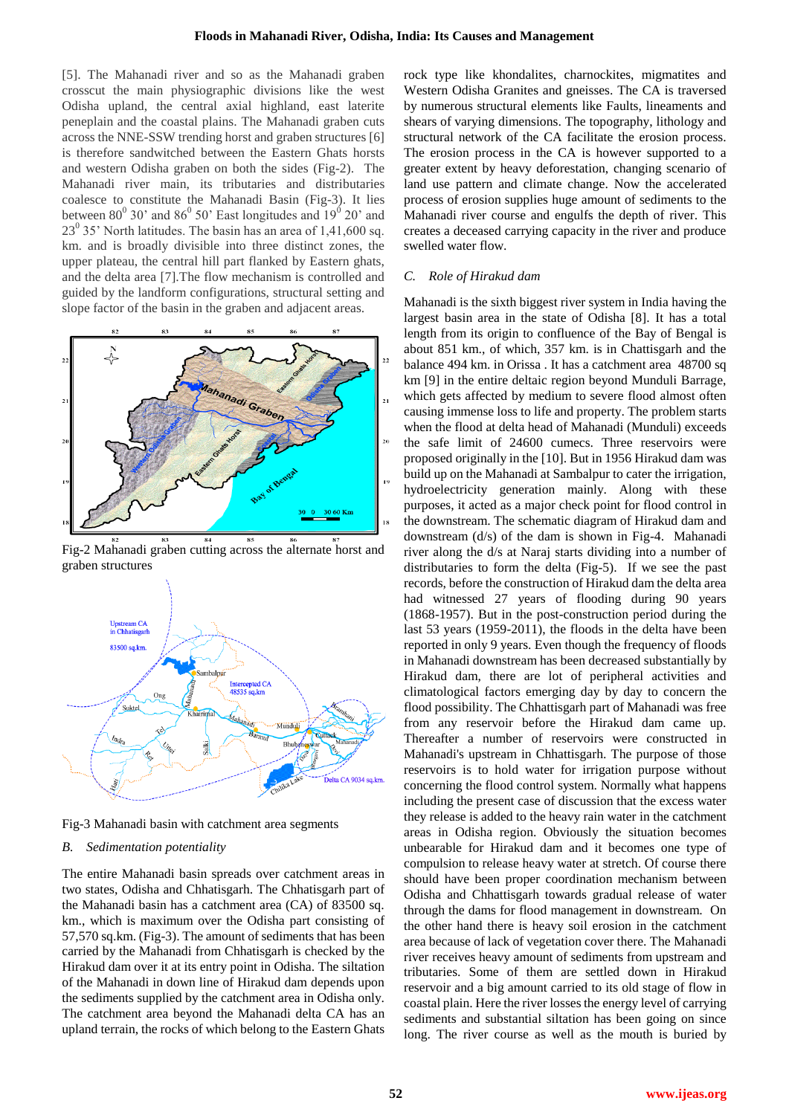[5]. The Mahanadi river and so as the Mahanadi graben crosscut the main physiographic divisions like the west Odisha upland, the central axial highland, east laterite peneplain and the coastal plains. The Mahanadi graben cuts across the NNE-SSW trending horst and graben structures [6] is therefore sandwitched between the Eastern Ghats horsts and western Odisha graben on both the sides (Fig-2). The Mahanadi river main, its tributaries and distributaries coalesce to constitute the Mahanadi Basin (Fig-3). It lies between  $80^{\circ}$  30' and  $86^{\circ}$  50' East longitudes and  $19^{\circ}$  20' and  $23^0$  35' North latitudes. The basin has an area of 1,41,600 sq. km. and is broadly divisible into three distinct zones, the upper plateau, the central hill part flanked by Eastern ghats, and the delta area [7].The flow mechanism is controlled and guided by the landform configurations, structural setting and slope factor of the basin in the graben and adjacent areas.



Fig-2 Mahanadi graben cutting across the alternate horst and graben structures



Fig-3 Mahanadi basin with catchment area segments

## *B. Sedimentation potentiality*

The entire Mahanadi basin spreads over catchment areas in two states, Odisha and Chhatisgarh. The Chhatisgarh part of the Mahanadi basin has a catchment area (CA) of 83500 sq. km., which is maximum over the Odisha part consisting of 57,570 sq.km. (Fig-3). The amount of sediments that has been carried by the Mahanadi from Chhatisgarh is checked by the Hirakud dam over it at its entry point in Odisha. The siltation of the Mahanadi in down line of Hirakud dam depends upon the sediments supplied by the catchment area in Odisha only. The catchment area beyond the Mahanadi delta CA has an upland terrain, the rocks of which belong to the Eastern Ghats rock type like khondalites, charnockites, migmatites and Western Odisha Granites and gneisses. The CA is traversed by numerous structural elements like Faults, lineaments and shears of varying dimensions. The topography, lithology and structural network of the CA facilitate the erosion process. The erosion process in the CA is however supported to a greater extent by heavy deforestation, changing scenario of land use pattern and climate change. Now the accelerated process of erosion supplies huge amount of sediments to the Mahanadi river course and engulfs the depth of river. This creates a deceased carrying capacity in the river and produce swelled water flow.

### *C. Role of Hirakud dam*

Mahanadi is the sixth biggest river system in India having the largest basin area in the state of Odisha [8]. It has a total length from its origin to confluence of the Bay of Bengal is about 851 km., of which, 357 km. is in Chattisgarh and the balance 494 km. in Orissa . It has a catchment area 48700 sq km [9] in the entire deltaic region beyond Munduli Barrage, which gets affected by medium to severe flood almost often causing immense loss to life and property. The problem starts when the flood at delta head of Mahanadi (Munduli) exceeds the safe limit of 24600 cumecs. Three reservoirs were proposed originally in the [10]. But in 1956 Hirakud dam was build up on the Mahanadi at Sambalpur to cater the irrigation, hydroelectricity generation mainly. Along with these purposes, it acted as a major check point for flood control in the downstream. The schematic diagram of Hirakud dam and downstream (d/s) of the dam is shown in Fig-4. Mahanadi river along the d/s at Naraj starts dividing into a number of distributaries to form the delta (Fig-5). If we see the past records, before the construction of Hirakud dam the delta area had witnessed 27 years of flooding during 90 years (1868-1957). But in the post-construction period during the last 53 years (1959-2011), the floods in the delta have been reported in only 9 years. Even though the frequency of floods in Mahanadi downstream has been decreased substantially by Hirakud dam, there are lot of peripheral activities and climatological factors emerging day by day to concern the flood possibility. The Chhattisgarh part of Mahanadi was free from any reservoir before the Hirakud dam came up. Thereafter a number of reservoirs were constructed in Mahanadi's upstream in Chhattisgarh. The purpose of those reservoirs is to hold water for irrigation purpose without concerning the flood control system. Normally what happens including the present case of discussion that the excess water they release is added to the heavy rain water in the catchment areas in Odisha region. Obviously the situation becomes unbearable for Hirakud dam and it becomes one type of compulsion to release heavy water at stretch. Of course there should have been proper coordination mechanism between Odisha and Chhattisgarh towards gradual release of water through the dams for flood management in downstream. On the other hand there is heavy soil erosion in the catchment area because of lack of vegetation cover there. The Mahanadi river receives heavy amount of sediments from upstream and tributaries. Some of them are settled down in Hirakud reservoir and a big amount carried to its old stage of flow in coastal plain. Here the river losses the energy level of carrying sediments and substantial siltation has been going on since long. The river course as well as the mouth is buried by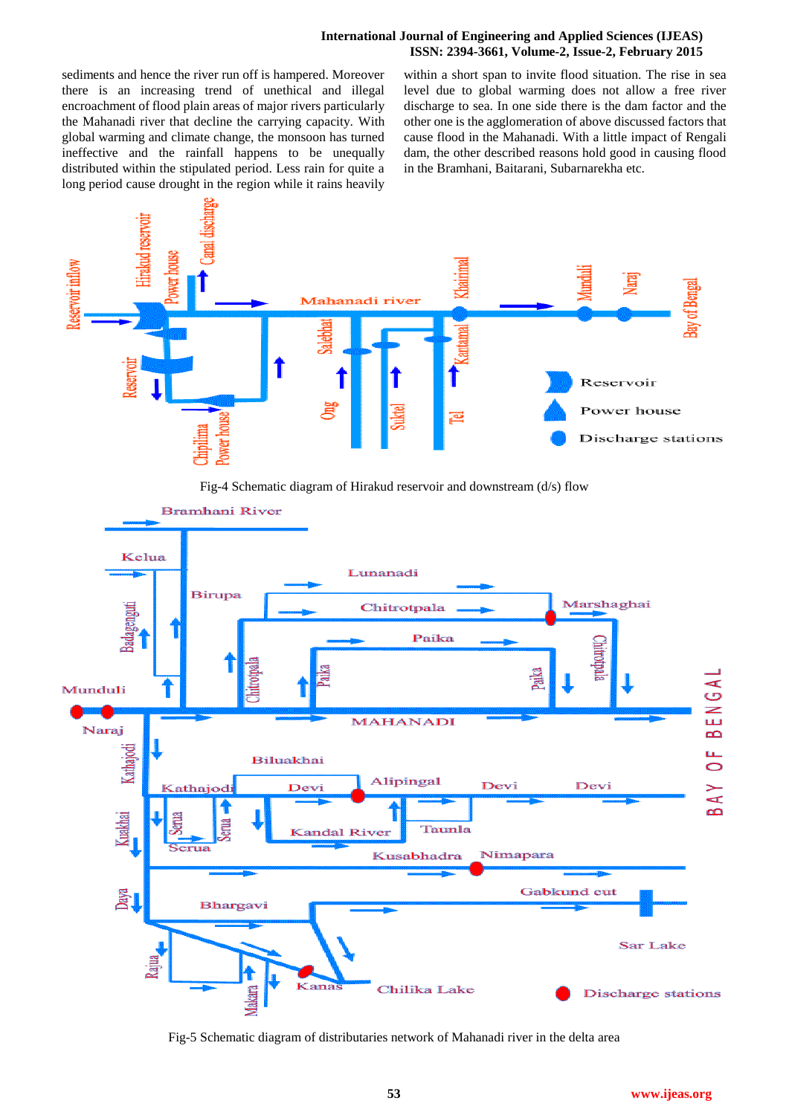## **International Journal of Engineering and Applied Sciences (IJEAS) ISSN: 2394-3661, Volume-2, Issue-2, February 2015**

sediments and hence the river run off is hampered. Moreover there is an increasing trend of unethical and illegal encroachment of flood plain areas of major rivers particularly the Mahanadi river that decline the carrying capacity. With global warming and climate change, the monsoon has turned ineffective and the rainfall happens to be unequally distributed within the stipulated period. Less rain for quite a long period cause drought in the region while it rains heavily within a short span to invite flood situation. The rise in sea level due to global warming does not allow a free river discharge to sea. In one side there is the dam factor and the other one is the agglomeration of above discussed factors that cause flood in the Mahanadi. With a little impact of Rengali dam, the other described reasons hold good in causing flood in the Bramhani, Baitarani, Subarnarekha etc.



Fig-4 Schematic diagram of Hirakud reservoir and downstream (d/s) flow



Fig-5 Schematic diagram of distributaries network of Mahanadi river in the delta area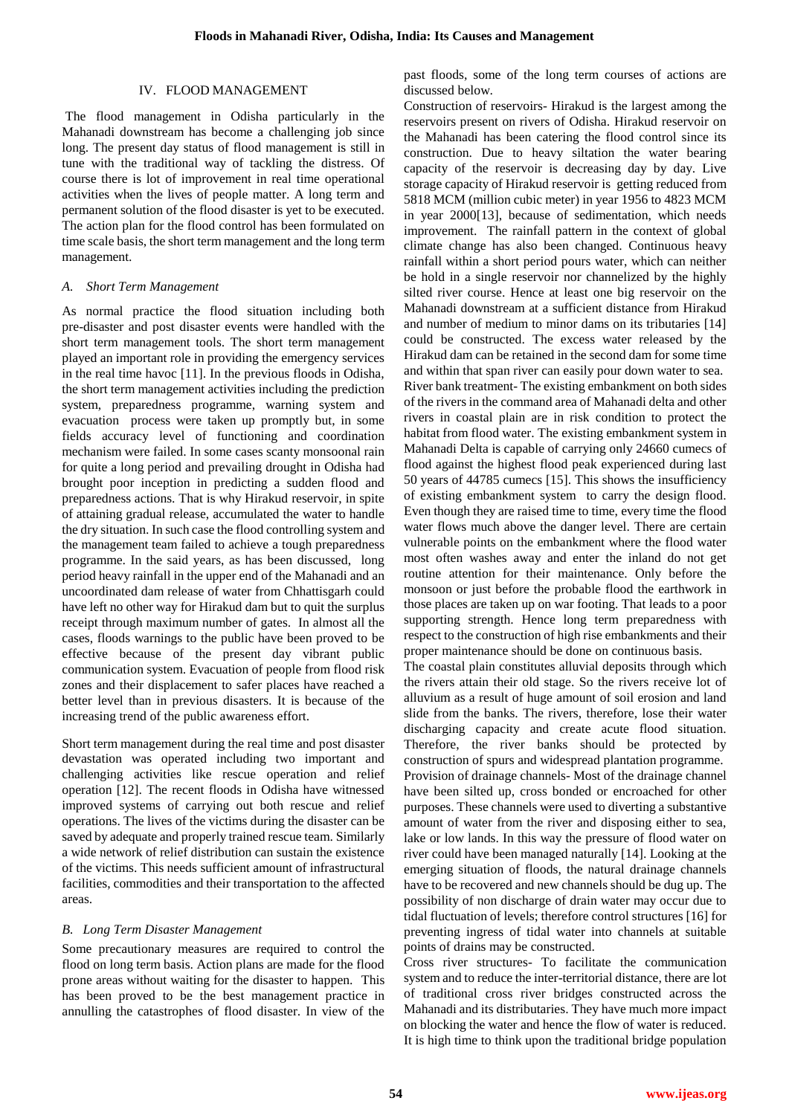## IV. FLOOD MANAGEMENT

The flood management in Odisha particularly in the Mahanadi downstream has become a challenging job since long. The present day status of flood management is still in tune with the traditional way of tackling the distress. Of course there is lot of improvement in real time operational activities when the lives of people matter. A long term and permanent solution of the flood disaster is yet to be executed. The action plan for the flood control has been formulated on time scale basis, the short term management and the long term management.

## *A. Short Term Management*

As normal practice the flood situation including both pre-disaster and post disaster events were handled with the short term management tools. The short term management played an important role in providing the emergency services in the real time havoc [11]. In the previous floods in Odisha, the short term management activities including the prediction system, preparedness programme, warning system and evacuation process were taken up promptly but, in some fields accuracy level of functioning and coordination mechanism were failed. In some cases scanty monsoonal rain for quite a long period and prevailing drought in Odisha had brought poor inception in predicting a sudden flood and preparedness actions. That is why Hirakud reservoir, in spite of attaining gradual release, accumulated the water to handle the dry situation. In such case the flood controlling system and the management team failed to achieve a tough preparedness programme. In the said years, as has been discussed, long period heavy rainfall in the upper end of the Mahanadi and an uncoordinated dam release of water from Chhattisgarh could have left no other way for Hirakud dam but to quit the surplus receipt through maximum number of gates. In almost all the cases, floods warnings to the public have been proved to be effective because of the present day vibrant public communication system. Evacuation of people from flood risk zones and their displacement to safer places have reached a better level than in previous disasters. It is because of the increasing trend of the public awareness effort.

Short term management during the real time and post disaster devastation was operated including two important and challenging activities like rescue operation and relief operation [12]. The recent floods in Odisha have witnessed improved systems of carrying out both rescue and relief operations. The lives of the victims during the disaster can be saved by adequate and properly trained rescue team. Similarly a wide network of relief distribution can sustain the existence of the victims. This needs sufficient amount of infrastructural facilities, commodities and their transportation to the affected areas.

# *B. Long Term Disaster Management*

Some precautionary measures are required to control the flood on long term basis. Action plans are made for the flood prone areas without waiting for the disaster to happen. This has been proved to be the best management practice in annulling the catastrophes of flood disaster. In view of the past floods, some of the long term courses of actions are discussed below.

Construction of reservoirs- Hirakud is the largest among the reservoirs present on rivers of Odisha. Hirakud reservoir on the Mahanadi has been catering the flood control since its construction. Due to heavy siltation the water bearing capacity of the reservoir is decreasing day by day. Live storage capacity of Hirakud reservoir is getting reduced from 5818 MCM (million cubic meter) in year 1956 to 4823 MCM in year 2000[13], because of sedimentation, which needs improvement. The rainfall pattern in the context of global climate change has also been changed. Continuous heavy rainfall within a short period pours water, which can neither be hold in a single reservoir nor channelized by the highly silted river course. Hence at least one big reservoir on the Mahanadi downstream at a sufficient distance from Hirakud and number of medium to minor dams on its tributaries [14] could be constructed. The excess water released by the Hirakud dam can be retained in the second dam for some time and within that span river can easily pour down water to sea. River bank treatment- The existing embankment on both sides of the rivers in the command area of Mahanadi delta and other rivers in coastal plain are in risk condition to protect the habitat from flood water. The existing embankment system in Mahanadi Delta is capable of carrying only 24660 cumecs of flood against the highest flood peak experienced during last 50 years of 44785 cumecs [15]. This shows the insufficiency of existing embankment system to carry the design flood. Even though they are raised time to time, every time the flood water flows much above the danger level. There are certain vulnerable points on the embankment where the flood water most often washes away and enter the inland do not get routine attention for their maintenance. Only before the monsoon or just before the probable flood the earthwork in those places are taken up on war footing. That leads to a poor supporting strength. Hence long term preparedness with respect to the construction of high rise embankments and their proper maintenance should be done on continuous basis.

The coastal plain constitutes alluvial deposits through which the rivers attain their old stage. So the rivers receive lot of alluvium as a result of huge amount of soil erosion and land slide from the banks. The rivers, therefore, lose their water discharging capacity and create acute flood situation. Therefore, the river banks should be protected by construction of spurs and widespread plantation programme. Provision of drainage channels- Most of the drainage channel have been silted up, cross bonded or encroached for other purposes. These channels were used to diverting a substantive amount of water from the river and disposing either to sea, lake or low lands. In this way the pressure of flood water on river could have been managed naturally [14]. Looking at the emerging situation of floods, the natural drainage channels have to be recovered and new channels should be dug up. The possibility of non discharge of drain water may occur due to tidal fluctuation of levels; therefore control structures [16] for preventing ingress of tidal water into channels at suitable points of drains may be constructed.

Cross river structures- To facilitate the communication system and to reduce the inter-territorial distance, there are lot of traditional cross river bridges constructed across the Mahanadi and its distributaries. They have much more impact on blocking the water and hence the flow of water is reduced. It is high time to think upon the traditional bridge population